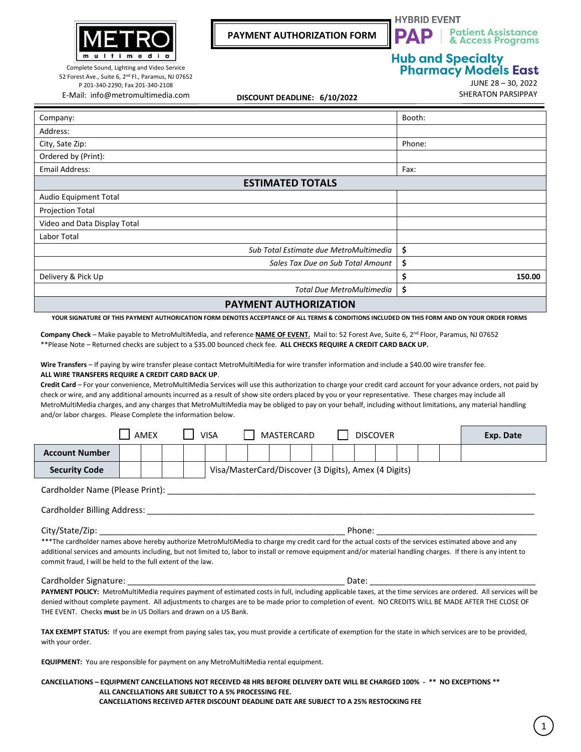

52 Forest Ave., Suite 6, 2<sup>nd</sup> Fl., Paramus, NJ 07652 P 201-340-2290; Fax 201-340-2108 E-Mail: info@metromultimedia.com

**PAYMENT AUTHORIZATION FORM**



**Patient Assistance** & Access Programs

**Hub and Specialty<br>Pharmacy Models East** 

JUNE 28 – 30, 2022

SHERATON PARSIPPAY **DISCOUNT DEADLINE: 6/10/2022**

| Company:                               | Booth:       |
|----------------------------------------|--------------|
| Address:                               |              |
| City, Sate Zip:                        | Phone:       |
| Ordered by (Print):                    |              |
| <b>Email Address:</b>                  | Fax:         |
| <b>ESTIMATED TOTALS</b>                |              |
| Audio Equipment Total                  |              |
| <b>Projection Total</b>                |              |
| Video and Data Display Total           |              |
| Labor Total                            |              |
| Sub Total Estimate due MetroMultimedia | \$           |
| Sales Tax Due on Sub Total Amount      | \$           |
| Delivery & Pick Up                     | \$<br>150.00 |
| <b>Total Due MetroMultimedia</b>       | \$           |
| --------------------------             |              |

**PAYMENT AUTHORIZATION**

**YOUR SIGNATURE OF THIS PAYMENT AUTHORICATION FORM DENOTES ACCEPTANCE OF ALL TERMS & CONDITIONS INCLUDED ON THIS FORM AND ON YOUR ORDER FORMS**

**Company Check** – Make payable to MetroMultiMedia, and reference **NAME OF EVENT.** Mail to: 52 Forest Ave, Suite 6, 2 nd Floor, Paramus, NJ 07652 \*\*Please Note – Returned checks are subject to a \$35.00 bounced check fee. **ALL CHECKS REQUIRE A CREDIT CARD BACK UP.**

**Wire Transfers** – If paying by wire transfer please contact MetroMultiMedia for wire transfer information and include a \$40.00 wire transfer fee. **ALL WIRE TRANSFERS REQUIRE A CREDIT CARD BACK UP**.

**Credit Card** – For your convenience, MetroMultiMedia Services will use this authorization to charge your credit card account for your advance orders, not paid by check or wire, and any additional amounts incurred as a result of show site orders placed by you or your representative. These charges may include all MetroMultiMedia charges, and any charges that MetroMultiMedia may be obliged to pay on your behalf, including without limitations, any material handling and/or labor charges. Please Complete the information below.

|                                                                                                                                                                                                                                                                                                                                                                                        | <b>AMEX</b> |  |  |  |  | <b>MASTERCARD</b><br>VISA |  |  |  | <b>DISCOVER</b>                                      |  |  |                                                                                                                                                                                                                                |  | Exp. Date |
|----------------------------------------------------------------------------------------------------------------------------------------------------------------------------------------------------------------------------------------------------------------------------------------------------------------------------------------------------------------------------------------|-------------|--|--|--|--|---------------------------|--|--|--|------------------------------------------------------|--|--|--------------------------------------------------------------------------------------------------------------------------------------------------------------------------------------------------------------------------------|--|-----------|
| <b>Account Number</b>                                                                                                                                                                                                                                                                                                                                                                  |             |  |  |  |  |                           |  |  |  |                                                      |  |  |                                                                                                                                                                                                                                |  |           |
| <b>Security Code</b>                                                                                                                                                                                                                                                                                                                                                                   |             |  |  |  |  |                           |  |  |  | Visa/MasterCard/Discover (3 Digits), Amex (4 Digits) |  |  |                                                                                                                                                                                                                                |  |           |
| Cardholder Name (Please Print):                                                                                                                                                                                                                                                                                                                                                        |             |  |  |  |  |                           |  |  |  |                                                      |  |  |                                                                                                                                                                                                                                |  |           |
| Cardholder Billing Address:                                                                                                                                                                                                                                                                                                                                                            |             |  |  |  |  |                           |  |  |  |                                                      |  |  |                                                                                                                                                                                                                                |  |           |
|                                                                                                                                                                                                                                                                                                                                                                                        |             |  |  |  |  |                           |  |  |  |                                                      |  |  | Phone: the contract of the contract of the contract of the contract of the contract of the contract of the contract of the contract of the contract of the contract of the contract of the contract of the contract of the con |  |           |
| ***The cardholder names above hereby authorize MetroMultiMedia to charge my credit card for the actual costs of the services estimated above and any<br>additional services and amounts including, but not limited to, labor to install or remove equipment and/or material handling charges. If there is any intent to<br>commit fraud, I will be held to the full extent of the law. |             |  |  |  |  |                           |  |  |  |                                                      |  |  |                                                                                                                                                                                                                                |  |           |
| Cardholder Signature: with the cardholder signature of the cardholder signature of the card                                                                                                                                                                                                                                                                                            |             |  |  |  |  |                           |  |  |  | Date:                                                |  |  |                                                                                                                                                                                                                                |  |           |

PAYMENT POLICY: MetroMultiMedia requires payment of estimated costs in full, including applicable taxes, at the time services are ordered. All services will be denied without complete payment. All adjustments to charges are to be made prior to completion of event. NO CREDITS WILL BE MADE AFTER THE CLOSE OF THE EVENT. Checks **must** be in US Dollars and drawn on a US Bank.

**TAX EXEMPT STATUS:** If you are exempt from paying sales tax, you must provide a certificate of exemption for the state in which services are to be provided, with your order.

**EQUIPMENT:** You are responsible for payment on any MetroMultiMedia rental equipment.

## **CANCELLATIONS – EQUIPMENT CANCELLATIONS NOT RECEIVED 48 HRS BEFORE DELIVERY DATE WILL BE CHARGED 100% - \*\* NO EXCEPTIONS \*\* ALL CANCELLATIONS ARE SUBJECT TO A 5% PROCESSING FEE. CANCELLATIONS RECEIVED AFTER DISCOUNT DEADLINE DATE ARE SUBJECT TO A 25% RESTOCKING FEE**